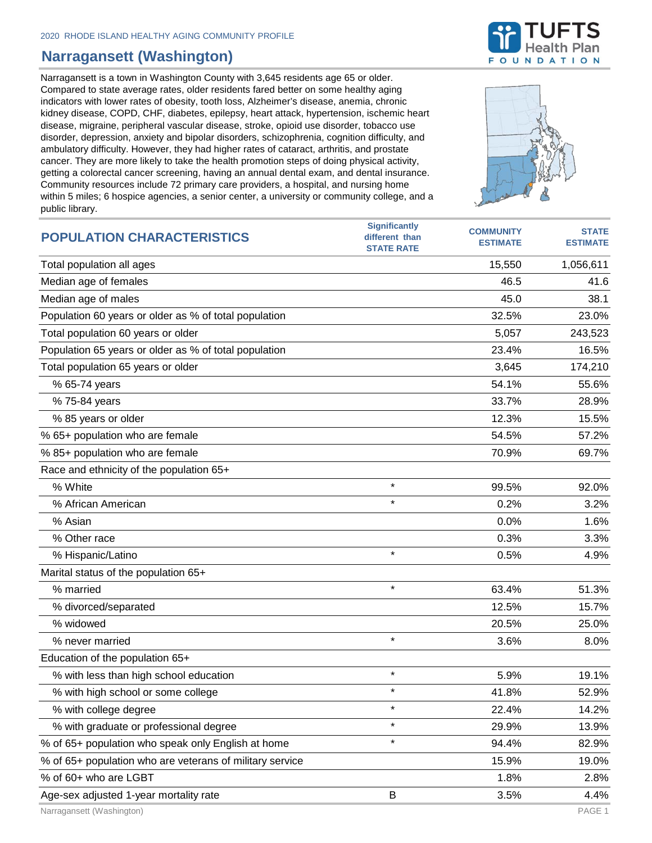## **Narragansett (Washington)**

Narragansett is a town in Washington County with 3,645 residents age 65 or older. Compared to state average rates, older residents fared better on some healthy aging indicators with lower rates of obesity, tooth loss, Alzheimer's disease, anemia, chronic kidney disease, COPD, CHF, diabetes, epilepsy, heart attack, hypertension, ischemic heart disease, migraine, peripheral vascular disease, stroke, opioid use disorder, tobacco use disorder, depression, anxiety and bipolar disorders, schizophrenia, cognition difficulty, and ambulatory difficulty. However, they had higher rates of cataract, arthritis, and prostate cancer. They are more likely to take the health promotion steps of doing physical activity, getting a colorectal cancer screening, having an annual dental exam, and dental insurance. Community resources include 72 primary care providers, a hospital, and nursing home within 5 miles; 6 hospice agencies, a senior center, a university or community college, and a public library.





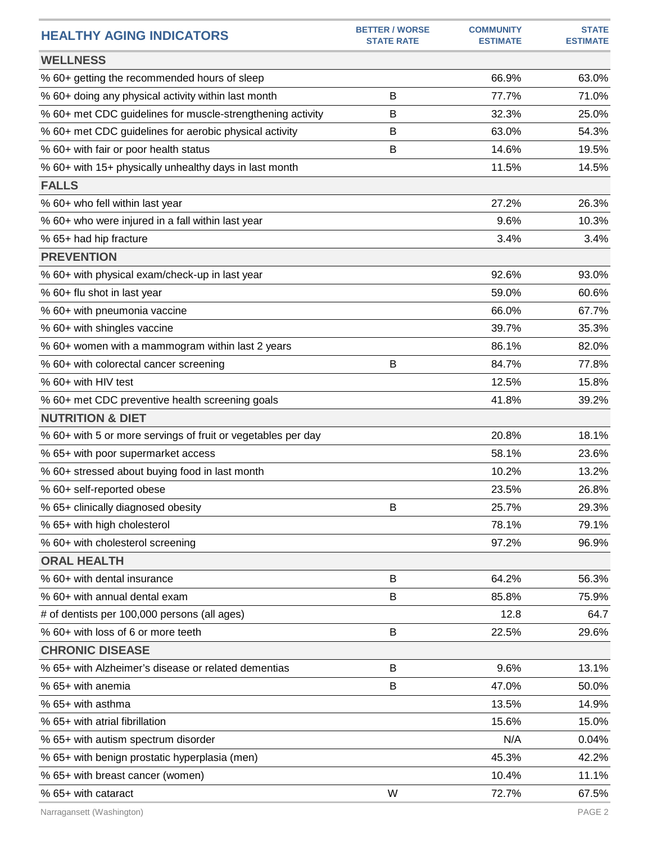| <b>HEALTHY AGING INDICATORS</b>                              | <b>BETTER / WORSE</b><br><b>STATE RATE</b> | <b>COMMUNITY</b><br><b>ESTIMATE</b> | <b>STATE</b><br><b>ESTIMATE</b> |
|--------------------------------------------------------------|--------------------------------------------|-------------------------------------|---------------------------------|
| <b>WELLNESS</b>                                              |                                            |                                     |                                 |
| % 60+ getting the recommended hours of sleep                 |                                            | 66.9%                               | 63.0%                           |
| % 60+ doing any physical activity within last month          | B                                          | 77.7%                               | 71.0%                           |
| % 60+ met CDC guidelines for muscle-strengthening activity   | В                                          | 32.3%                               | 25.0%                           |
| % 60+ met CDC guidelines for aerobic physical activity       | В                                          | 63.0%                               | 54.3%                           |
| % 60+ with fair or poor health status                        | B                                          | 14.6%                               | 19.5%                           |
| % 60+ with 15+ physically unhealthy days in last month       |                                            | 11.5%                               | 14.5%                           |
| <b>FALLS</b>                                                 |                                            |                                     |                                 |
| % 60+ who fell within last year                              |                                            | 27.2%                               | 26.3%                           |
| % 60+ who were injured in a fall within last year            |                                            | 9.6%                                | 10.3%                           |
| % 65+ had hip fracture                                       |                                            | 3.4%                                | 3.4%                            |
| <b>PREVENTION</b>                                            |                                            |                                     |                                 |
| % 60+ with physical exam/check-up in last year               |                                            | 92.6%                               | 93.0%                           |
| % 60+ flu shot in last year                                  |                                            | 59.0%                               | 60.6%                           |
| % 60+ with pneumonia vaccine                                 |                                            | 66.0%                               | 67.7%                           |
| % 60+ with shingles vaccine                                  |                                            | 39.7%                               | 35.3%                           |
| % 60+ women with a mammogram within last 2 years             |                                            | 86.1%                               | 82.0%                           |
| % 60+ with colorectal cancer screening                       | B                                          | 84.7%                               | 77.8%                           |
| % 60+ with HIV test                                          |                                            | 12.5%                               | 15.8%                           |
| % 60+ met CDC preventive health screening goals              |                                            | 41.8%                               | 39.2%                           |
| <b>NUTRITION &amp; DIET</b>                                  |                                            |                                     |                                 |
| % 60+ with 5 or more servings of fruit or vegetables per day |                                            | 20.8%                               | 18.1%                           |
| % 65+ with poor supermarket access                           |                                            | 58.1%                               | 23.6%                           |
| % 60+ stressed about buying food in last month               |                                            | 10.2%                               | 13.2%                           |
| % 60+ self-reported obese                                    |                                            | 23.5%                               | 26.8%                           |
| % 65+ clinically diagnosed obesity                           | В                                          | 25.7%                               | 29.3%                           |
| % 65+ with high cholesterol                                  |                                            | 78.1%                               | 79.1%                           |
| % 60+ with cholesterol screening                             |                                            | 97.2%                               | 96.9%                           |
| <b>ORAL HEALTH</b>                                           |                                            |                                     |                                 |
| % 60+ with dental insurance                                  | B                                          | 64.2%                               | 56.3%                           |
| % 60+ with annual dental exam                                | B                                          | 85.8%                               | 75.9%                           |
| # of dentists per 100,000 persons (all ages)                 |                                            | 12.8                                | 64.7                            |
| % 60+ with loss of 6 or more teeth                           | B                                          | 22.5%                               | 29.6%                           |
| <b>CHRONIC DISEASE</b>                                       |                                            |                                     |                                 |
| % 65+ with Alzheimer's disease or related dementias          | B                                          | 9.6%                                | 13.1%                           |
| % 65+ with anemia                                            | В                                          | 47.0%                               | 50.0%                           |
| % 65+ with asthma                                            |                                            | 13.5%                               | 14.9%                           |
| % 65+ with atrial fibrillation                               |                                            | 15.6%                               | 15.0%                           |
| % 65+ with autism spectrum disorder                          |                                            | N/A                                 | 0.04%                           |
| % 65+ with benign prostatic hyperplasia (men)                |                                            | 45.3%                               | 42.2%                           |
| % 65+ with breast cancer (women)                             |                                            | 10.4%                               | 11.1%                           |
| % 65+ with cataract                                          | W                                          | 72.7%                               | 67.5%                           |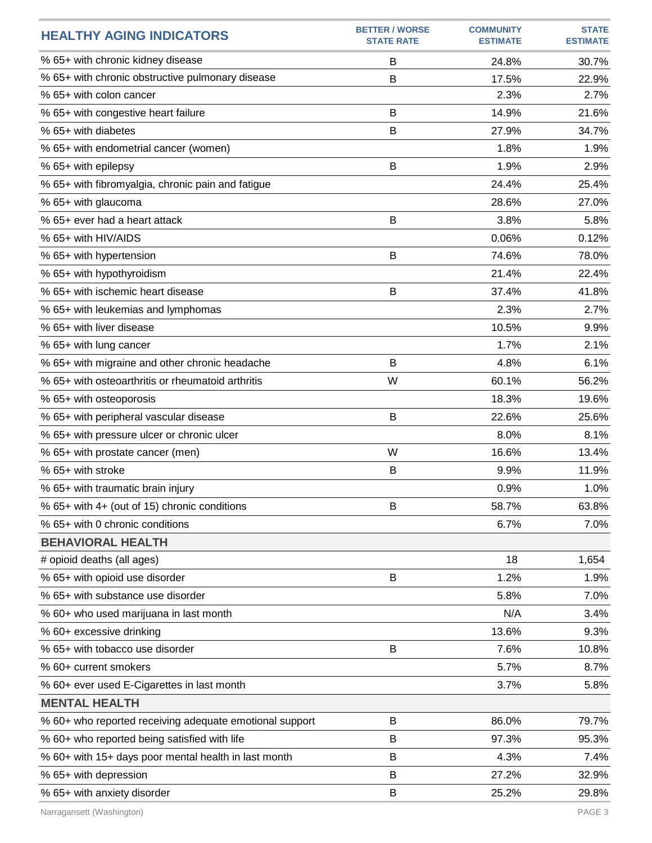| <b>HEALTHY AGING INDICATORS</b>                         | <b>BETTER / WORSE</b><br><b>STATE RATE</b> | <b>COMMUNITY</b><br><b>ESTIMATE</b> | <b>STATE</b><br><b>ESTIMATE</b> |
|---------------------------------------------------------|--------------------------------------------|-------------------------------------|---------------------------------|
| % 65+ with chronic kidney disease                       | B                                          | 24.8%                               | 30.7%                           |
| % 65+ with chronic obstructive pulmonary disease        | B                                          | 17.5%                               | 22.9%                           |
| % 65+ with colon cancer                                 |                                            | 2.3%                                | 2.7%                            |
| % 65+ with congestive heart failure                     | B                                          | 14.9%                               | 21.6%                           |
| % 65+ with diabetes                                     | B                                          | 27.9%                               | 34.7%                           |
| % 65+ with endometrial cancer (women)                   |                                            | 1.8%                                | 1.9%                            |
| % 65+ with epilepsy                                     | B                                          | 1.9%                                | 2.9%                            |
| % 65+ with fibromyalgia, chronic pain and fatigue       |                                            | 24.4%                               | 25.4%                           |
| % 65+ with glaucoma                                     |                                            | 28.6%                               | 27.0%                           |
| % 65+ ever had a heart attack                           | B                                          | 3.8%                                | 5.8%                            |
| % 65+ with HIV/AIDS                                     |                                            | 0.06%                               | 0.12%                           |
| % 65+ with hypertension                                 | B                                          | 74.6%                               | 78.0%                           |
| % 65+ with hypothyroidism                               |                                            | 21.4%                               | 22.4%                           |
| % 65+ with ischemic heart disease                       | B                                          | 37.4%                               | 41.8%                           |
| % 65+ with leukemias and lymphomas                      |                                            | 2.3%                                | 2.7%                            |
| % 65+ with liver disease                                |                                            | 10.5%                               | 9.9%                            |
| % 65+ with lung cancer                                  |                                            | 1.7%                                | 2.1%                            |
| % 65+ with migraine and other chronic headache          | B                                          | 4.8%                                | 6.1%                            |
| % 65+ with osteoarthritis or rheumatoid arthritis       | W                                          | 60.1%                               | 56.2%                           |
| % 65+ with osteoporosis                                 |                                            | 18.3%                               | 19.6%                           |
| % 65+ with peripheral vascular disease                  | B                                          | 22.6%                               | 25.6%                           |
| % 65+ with pressure ulcer or chronic ulcer              |                                            | 8.0%                                | 8.1%                            |
| % 65+ with prostate cancer (men)                        | W                                          | 16.6%                               | 13.4%                           |
| % 65+ with stroke                                       | B                                          | 9.9%                                | 11.9%                           |
| % 65+ with traumatic brain injury                       |                                            | 0.9%                                | 1.0%                            |
| % 65+ with 4+ (out of 15) chronic conditions            | B                                          | 58.7%                               | 63.8%                           |
| % 65+ with 0 chronic conditions                         |                                            | 6.7%                                | 7.0%                            |
| <b>BEHAVIORAL HEALTH</b>                                |                                            |                                     |                                 |
| # opioid deaths (all ages)                              |                                            | 18                                  | 1,654                           |
| % 65+ with opioid use disorder                          | B                                          | 1.2%                                | 1.9%                            |
| % 65+ with substance use disorder                       |                                            | 5.8%                                | 7.0%                            |
| % 60+ who used marijuana in last month                  |                                            | N/A                                 | 3.4%                            |
| % 60+ excessive drinking                                |                                            | 13.6%                               | 9.3%                            |
| % 65+ with tobacco use disorder                         | B                                          | 7.6%                                | 10.8%                           |
| % 60+ current smokers                                   |                                            | 5.7%                                | 8.7%                            |
| % 60+ ever used E-Cigarettes in last month              |                                            | 3.7%                                | 5.8%                            |
| <b>MENTAL HEALTH</b>                                    |                                            |                                     |                                 |
| % 60+ who reported receiving adequate emotional support | B                                          | 86.0%                               | 79.7%                           |
| % 60+ who reported being satisfied with life            | B                                          | 97.3%                               | 95.3%                           |
| % 60+ with 15+ days poor mental health in last month    | B                                          | 4.3%                                | 7.4%                            |
| % 65+ with depression                                   | B                                          | 27.2%                               | 32.9%                           |
| % 65+ with anxiety disorder                             | B                                          | 25.2%                               | 29.8%                           |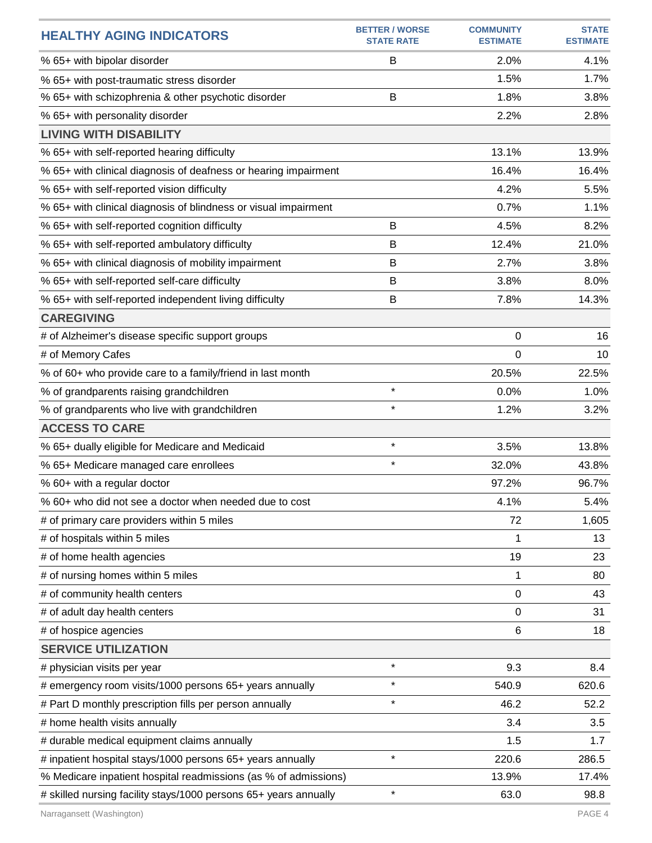| <b>HEALTHY AGING INDICATORS</b>                                  | <b>BETTER / WORSE</b><br><b>STATE RATE</b> | <b>COMMUNITY</b><br><b>ESTIMATE</b> | <b>STATE</b><br><b>ESTIMATE</b> |
|------------------------------------------------------------------|--------------------------------------------|-------------------------------------|---------------------------------|
| % 65+ with bipolar disorder                                      | B                                          | 2.0%                                | 4.1%                            |
| % 65+ with post-traumatic stress disorder                        |                                            | 1.5%                                | 1.7%                            |
| % 65+ with schizophrenia & other psychotic disorder              | B                                          | 1.8%                                | 3.8%                            |
| % 65+ with personality disorder                                  |                                            | 2.2%                                | 2.8%                            |
| <b>LIVING WITH DISABILITY</b>                                    |                                            |                                     |                                 |
| % 65+ with self-reported hearing difficulty                      |                                            | 13.1%                               | 13.9%                           |
| % 65+ with clinical diagnosis of deafness or hearing impairment  |                                            | 16.4%                               | 16.4%                           |
| % 65+ with self-reported vision difficulty                       |                                            | 4.2%                                | 5.5%                            |
| % 65+ with clinical diagnosis of blindness or visual impairment  |                                            | 0.7%                                | 1.1%                            |
| % 65+ with self-reported cognition difficulty                    | B                                          | 4.5%                                | 8.2%                            |
| % 65+ with self-reported ambulatory difficulty                   | B                                          | 12.4%                               | 21.0%                           |
| % 65+ with clinical diagnosis of mobility impairment             | B                                          | 2.7%                                | 3.8%                            |
| % 65+ with self-reported self-care difficulty                    | B                                          | 3.8%                                | 8.0%                            |
| % 65+ with self-reported independent living difficulty           | B                                          | 7.8%                                | 14.3%                           |
| <b>CAREGIVING</b>                                                |                                            |                                     |                                 |
| # of Alzheimer's disease specific support groups                 |                                            | 0                                   | 16                              |
| # of Memory Cafes                                                |                                            | 0                                   | 10                              |
| % of 60+ who provide care to a family/friend in last month       |                                            | 20.5%                               | 22.5%                           |
| % of grandparents raising grandchildren                          | $\star$                                    | 0.0%                                | 1.0%                            |
| % of grandparents who live with grandchildren                    | $\star$                                    | 1.2%                                | 3.2%                            |
| <b>ACCESS TO CARE</b>                                            |                                            |                                     |                                 |
| % 65+ dually eligible for Medicare and Medicaid                  | $\star$                                    | 3.5%                                | 13.8%                           |
| % 65+ Medicare managed care enrollees                            | $\star$                                    | 32.0%                               | 43.8%                           |
| % 60+ with a regular doctor                                      |                                            | 97.2%                               | 96.7%                           |
| % 60+ who did not see a doctor when needed due to cost           |                                            | 4.1%                                | 5.4%                            |
| # of primary care providers within 5 miles                       |                                            | 72                                  | 1,605                           |
| # of hospitals within 5 miles                                    |                                            | 1                                   | 13                              |
| # of home health agencies                                        |                                            | 19                                  | 23                              |
| # of nursing homes within 5 miles                                |                                            | 1                                   | 80                              |
| # of community health centers                                    |                                            | 0                                   | 43                              |
| # of adult day health centers                                    |                                            | 0                                   | 31                              |
| # of hospice agencies                                            |                                            | 6                                   | 18                              |
| <b>SERVICE UTILIZATION</b>                                       |                                            |                                     |                                 |
| # physician visits per year                                      | $\star$                                    | 9.3                                 | 8.4                             |
| # emergency room visits/1000 persons 65+ years annually          | $\star$                                    | 540.9                               | 620.6                           |
| # Part D monthly prescription fills per person annually          | $\star$                                    | 46.2                                | 52.2                            |
| # home health visits annually                                    |                                            | 3.4                                 | 3.5                             |
| # durable medical equipment claims annually                      |                                            | 1.5                                 | 1.7                             |
| # inpatient hospital stays/1000 persons 65+ years annually       | $\star$                                    | 220.6                               | 286.5                           |
| % Medicare inpatient hospital readmissions (as % of admissions)  |                                            | 13.9%                               | 17.4%                           |
| # skilled nursing facility stays/1000 persons 65+ years annually | $\star$                                    | 63.0                                | 98.8                            |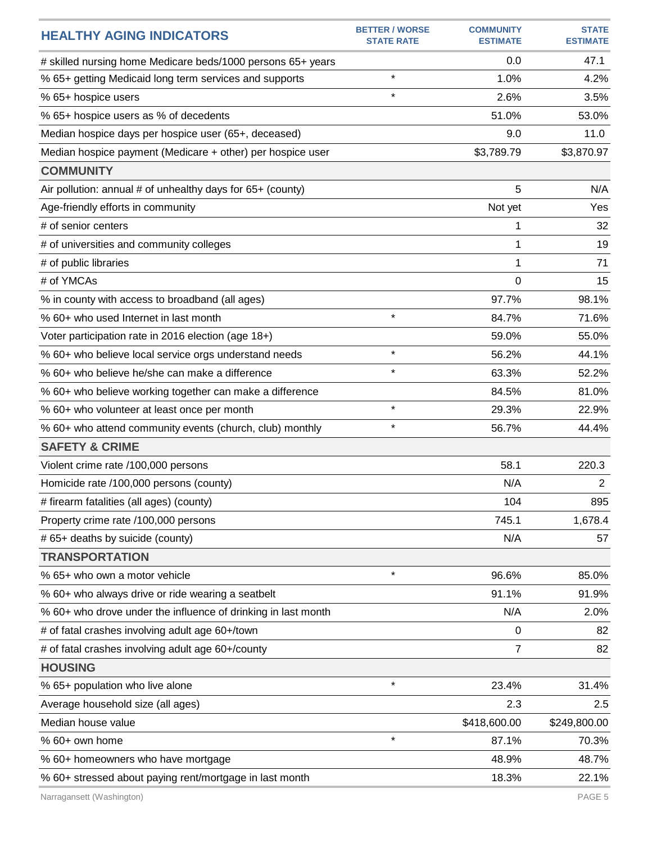| <b>HEALTHY AGING INDICATORS</b>                               | <b>BETTER / WORSE</b><br><b>STATE RATE</b> | <b>COMMUNITY</b><br><b>ESTIMATE</b> | <b>STATE</b><br><b>ESTIMATE</b> |
|---------------------------------------------------------------|--------------------------------------------|-------------------------------------|---------------------------------|
| # skilled nursing home Medicare beds/1000 persons 65+ years   |                                            | 0.0                                 | 47.1                            |
| % 65+ getting Medicaid long term services and supports        | $\star$                                    | 1.0%                                | 4.2%                            |
| % 65+ hospice users                                           | $\star$                                    | 2.6%                                | 3.5%                            |
| % 65+ hospice users as % of decedents                         |                                            | 51.0%                               | 53.0%                           |
| Median hospice days per hospice user (65+, deceased)          |                                            | 9.0                                 | 11.0                            |
| Median hospice payment (Medicare + other) per hospice user    |                                            | \$3,789.79                          | \$3,870.97                      |
| <b>COMMUNITY</b>                                              |                                            |                                     |                                 |
| Air pollution: annual # of unhealthy days for 65+ (county)    |                                            | 5                                   | N/A                             |
| Age-friendly efforts in community                             |                                            | Not yet                             | Yes                             |
| # of senior centers                                           |                                            | 1                                   | 32                              |
| # of universities and community colleges                      |                                            | 1                                   | 19                              |
| # of public libraries                                         |                                            | 1                                   | 71                              |
| # of YMCAs                                                    |                                            | $\Omega$                            | 15                              |
| % in county with access to broadband (all ages)               |                                            | 97.7%                               | 98.1%                           |
| % 60+ who used Internet in last month                         | $\star$                                    | 84.7%                               | 71.6%                           |
| Voter participation rate in 2016 election (age 18+)           |                                            | 59.0%                               | 55.0%                           |
| % 60+ who believe local service orgs understand needs         | $\star$                                    | 56.2%                               | 44.1%                           |
| % 60+ who believe he/she can make a difference                | $\star$                                    | 63.3%                               | 52.2%                           |
| % 60+ who believe working together can make a difference      |                                            | 84.5%                               | 81.0%                           |
| % 60+ who volunteer at least once per month                   | $\star$                                    | 29.3%                               | 22.9%                           |
| % 60+ who attend community events (church, club) monthly      | $\star$                                    | 56.7%                               | 44.4%                           |
| <b>SAFETY &amp; CRIME</b>                                     |                                            |                                     |                                 |
| Violent crime rate /100,000 persons                           |                                            | 58.1                                | 220.3                           |
| Homicide rate /100,000 persons (county)                       |                                            | N/A                                 | $\overline{2}$                  |
| # firearm fatalities (all ages) (county)                      |                                            | 104                                 | 895                             |
| Property crime rate /100,000 persons                          |                                            | 745.1                               | 1,678.4                         |
| # 65+ deaths by suicide (county)                              |                                            | N/A                                 | 57                              |
| <b>TRANSPORTATION</b>                                         |                                            |                                     |                                 |
| % 65+ who own a motor vehicle                                 | $\star$                                    | 96.6%                               | 85.0%                           |
| % 60+ who always drive or ride wearing a seatbelt             |                                            | 91.1%                               | 91.9%                           |
| % 60+ who drove under the influence of drinking in last month |                                            | N/A                                 | 2.0%                            |
| # of fatal crashes involving adult age 60+/town               |                                            | 0                                   | 82                              |
| # of fatal crashes involving adult age 60+/county             |                                            | 7                                   | 82                              |
| <b>HOUSING</b>                                                |                                            |                                     |                                 |
| % 65+ population who live alone                               | $\star$                                    | 23.4%                               | 31.4%                           |
| Average household size (all ages)                             |                                            | 2.3                                 | 2.5                             |
| Median house value                                            |                                            | \$418,600.00                        | \$249,800.00                    |
| % 60+ own home                                                | $\star$                                    | 87.1%                               | 70.3%                           |
| % 60+ homeowners who have mortgage                            |                                            | 48.9%                               | 48.7%                           |
| % 60+ stressed about paying rent/mortgage in last month       |                                            | 18.3%                               | 22.1%                           |